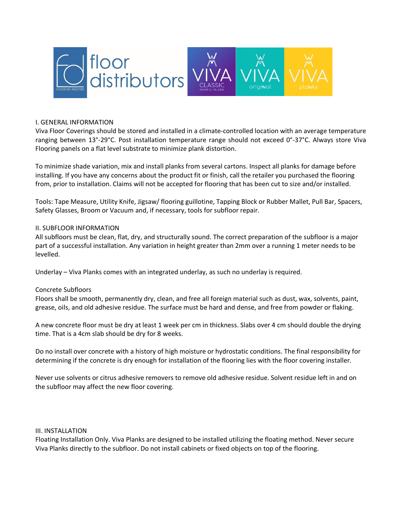

## I. GENERAL INFORMATION

Viva Floor Coverings should be stored and installed in a climate-controlled location with an average temperature ranging between 13°-29°C. Post installation temperature range should not exceed 0°-37°C. Always store Viva Flooring panels on a flat level substrate to minimize plank distortion.

To minimize shade variation, mix and install planks from several cartons. Inspect all planks for damage before installing. If you have any concerns about the product fit or finish, call the retailer you purchased the flooring from, prior to installation. Claims will not be accepted for flooring that has been cut to size and/or installed.

Tools: Tape Measure, Utility Knife, Jigsaw/ flooring guillotine, Tapping Block or Rubber Mallet, Pull Bar, Spacers, Safety Glasses, Broom or Vacuum and, if necessary, tools for subfloor repair.

## II. SUBFLOOR INFORMATION

All subfloors must be clean, flat, dry, and structurally sound. The correct preparation of the subfloor is a major part of a successful installation. Any variation in height greater than 2mm over a running 1 meter needs to be levelled.

Underlay – Viva Planks comes with an integrated underlay, as such no underlay is required.

#### Concrete Subfloors

Floors shall be smooth, permanently dry, clean, and free all foreign material such as dust, wax, solvents, paint, grease, oils, and old adhesive residue. The surface must be hard and dense, and free from powder or flaking.

A new concrete floor must be dry at least 1 week per cm in thickness. Slabs over 4 cm should double the drying time. That is a 4cm slab should be dry for 8 weeks.

Do no install over concrete with a history of high moisture or hydrostatic conditions. The final responsibility for determining if the concrete is dry enough for installation of the flooring lies with the floor covering installer.

Never use solvents or citrus adhesive removers to remove old adhesive residue. Solvent residue left in and on the subfloor may affect the new floor covering.

## III. INSTALLATION

Floating Installation Only. Viva Planks are designed to be installed utilizing the floating method. Never secure Viva Planks directly to the subfloor. Do not install cabinets or fixed objects on top of the flooring.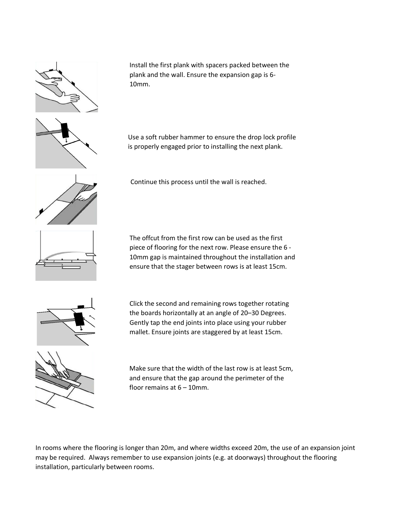

Install the first plank with spacers packed between the plank and the wall. Ensure the expansion gap is 6- 10mm.



Use a soft rubber hammer to ensure the drop lock profile is properly engaged prior to installing the next plank.



Continue this process until the wall is reached.



The offcut from the first row can be used as the first piece of flooring for the next row. Please ensure the 6 - 10mm gap is maintained throughout the installation and ensure that the stager between rows is at least 15cm.



Click the second and remaining rows together rotating the boards horizontally at an angle of 20–30 Degrees. Gently tap the end joints into place using your rubber mallet. Ensure joints are staggered by at least 15cm.



Make sure that the width of the last row is at least 5cm, and ensure that the gap around the perimeter of the floor remains at 6 – 10mm.

In rooms where the flooring is longer than 20m, and where widths exceed 20m, the use of an expansion joint may be required. Always remember to use expansion joints (e.g. at doorways) throughout the flooring installation, particularly between rooms.